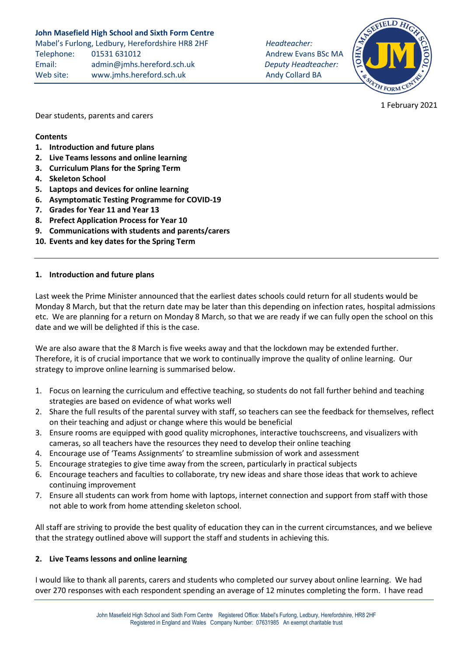# **John Masefield High School and Sixth Form Centre**

Mabel's Furlong, Ledbury, Herefordshire HR8 2HF *Headteacher:* Telephone: 01531 631012 **Andrew Evans BSc MA** Email: [admin@jmhs.hereford.sch.uk](mailto:admin@jmonline.org.uk) *Deputy Headteacher:* Web site: www.jmhs.hereford.sch.uk Andy Collard BA



1 February 2021

Dear students, parents and carers

#### **Contents**

- **1. Introduction and future plans**
- **2. Live Teams lessons and online learning**
- **3. Curriculum Plans for the Spring Term**
- **4. Skeleton School**
- **5. Laptops and devices for online learning**
- **6. Asymptomatic Testing Programme for COVID-19**
- **7. Grades for Year 11 and Year 13**
- **8. Prefect Application Process for Year 10**
- **9. Communications with students and parents/carers**
- **10. Events and key dates for the Spring Term**

#### **1. Introduction and future plans**

Last week the Prime Minister announced that the earliest dates schools could return for all students would be Monday 8 March, but that the return date may be later than this depending on infection rates, hospital admissions etc. We are planning for a return on Monday 8 March, so that we are ready if we can fully open the school on this date and we will be delighted if this is the case.

We are also aware that the 8 March is five weeks away and that the lockdown may be extended further. Therefore, it is of crucial importance that we work to continually improve the quality of online learning. Our strategy to improve online learning is summarised below.

- 1. Focus on learning the curriculum and effective teaching, so students do not fall further behind and teaching strategies are based on evidence of what works well
- 2. Share the full results of the parental survey with staff, so teachers can see the feedback for themselves, reflect on their teaching and adjust or change where this would be beneficial
- 3. Ensure rooms are equipped with good quality microphones, interactive touchscreens, and visualizers with cameras, so all teachers have the resources they need to develop their online teaching
- 4. Encourage use of 'Teams Assignments' to streamline submission of work and assessment
- 5. Encourage strategies to give time away from the screen, particularly in practical subjects
- 6. Encourage teachers and faculties to collaborate, try new ideas and share those ideas that work to achieve continuing improvement
- 7. Ensure all students can work from home with laptops, internet connection and support from staff with those not able to work from home attending skeleton school.

All staff are striving to provide the best quality of education they can in the current circumstances, and we believe that the strategy outlined above will support the staff and students in achieving this.

#### **2. Live Teams lessons and online learning**

I would like to thank all parents, carers and students who completed our survey about online learning. We had over 270 responses with each respondent spending an average of 12 minutes completing the form. I have read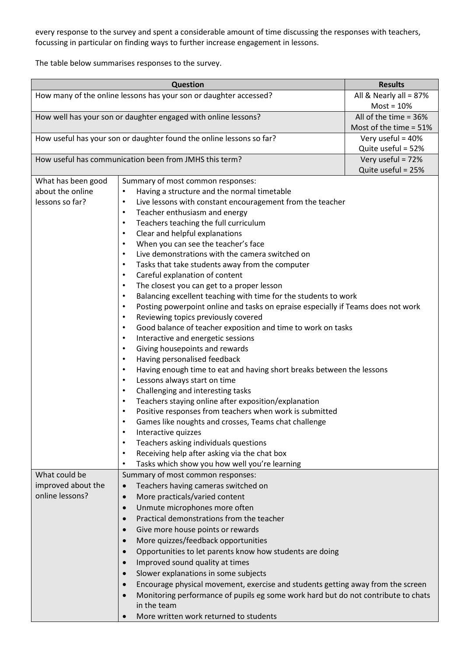every response to the survey and spent a considerable amount of time discussing the responses with teachers, focussing in particular on finding ways to further increase engagement in lessons.

The table below summarises responses to the survey.

| <b>Question</b>                                                      |                                                                                                | <b>Results</b>           |
|----------------------------------------------------------------------|------------------------------------------------------------------------------------------------|--------------------------|
| How many of the online lessons has your son or daughter accessed?    |                                                                                                | All & Nearly all = 87%   |
|                                                                      |                                                                                                | $Most = 10%$             |
| How well has your son or daughter engaged with online lessons?       |                                                                                                | All of the time = $36\%$ |
|                                                                      |                                                                                                | Most of the time = 51%   |
| How useful has your son or daughter found the online lessons so far? |                                                                                                | Very useful = 40%        |
|                                                                      |                                                                                                | Quite useful = 52%       |
| How useful has communication been from JMHS this term?               |                                                                                                | Very useful = 72%        |
|                                                                      |                                                                                                | Quite useful = 25%       |
| What has been good                                                   | Summary of most common responses:                                                              |                          |
| about the online                                                     | Having a structure and the normal timetable<br>$\bullet$                                       |                          |
| lessons so far?                                                      | Live lessons with constant encouragement from the teacher<br>$\bullet$                         |                          |
|                                                                      | Teacher enthusiasm and energy<br>$\bullet$                                                     |                          |
|                                                                      | Teachers teaching the full curriculum<br>$\bullet$                                             |                          |
|                                                                      | Clear and helpful explanations<br>$\bullet$                                                    |                          |
|                                                                      | When you can see the teacher's face<br>$\bullet$                                               |                          |
|                                                                      | Live demonstrations with the camera switched on<br>$\bullet$                                   |                          |
|                                                                      | Tasks that take students away from the computer<br>$\bullet$                                   |                          |
|                                                                      | Careful explanation of content<br>$\bullet$                                                    |                          |
|                                                                      | The closest you can get to a proper lesson<br>$\bullet$                                        |                          |
|                                                                      | Balancing excellent teaching with time for the students to work<br>$\bullet$                   |                          |
|                                                                      | Posting powerpoint online and tasks on epraise especially if Teams does not work<br>$\bullet$  |                          |
|                                                                      | Reviewing topics previously covered<br>$\bullet$                                               |                          |
|                                                                      | Good balance of teacher exposition and time to work on tasks<br>$\bullet$                      |                          |
|                                                                      | Interactive and energetic sessions<br>$\bullet$                                                |                          |
|                                                                      | Giving housepoints and rewards<br>$\bullet$                                                    |                          |
|                                                                      | Having personalised feedback<br>$\bullet$                                                      |                          |
|                                                                      | Having enough time to eat and having short breaks between the lessons<br>$\bullet$             |                          |
|                                                                      | Lessons always start on time<br>$\bullet$                                                      |                          |
|                                                                      | Challenging and interesting tasks<br>$\bullet$                                                 |                          |
|                                                                      | Teachers staying online after exposition/explanation<br>$\bullet$                              |                          |
|                                                                      | Positive responses from teachers when work is submitted<br>$\bullet$                           |                          |
|                                                                      | Games like noughts and crosses, Teams chat challenge<br>$\bullet$                              |                          |
|                                                                      | Interactive quizzes<br>$\bullet$                                                               |                          |
|                                                                      | Teachers asking individuals questions<br>$\bullet$                                             |                          |
|                                                                      | Receiving help after asking via the chat box<br>$\bullet$                                      |                          |
|                                                                      | Tasks which show you how well you're learning<br>$\bullet$                                     |                          |
| What could be                                                        | Summary of most common responses:                                                              |                          |
| improved about the                                                   | Teachers having cameras switched on<br>$\bullet$                                               |                          |
| online lessons?                                                      | More practicals/varied content<br>$\bullet$                                                    |                          |
|                                                                      | Unmute microphones more often<br>$\bullet$                                                     |                          |
|                                                                      | Practical demonstrations from the teacher<br>$\bullet$                                         |                          |
|                                                                      | Give more house points or rewards<br>$\bullet$                                                 |                          |
|                                                                      | More quizzes/feedback opportunities<br>$\bullet$                                               |                          |
|                                                                      | Opportunities to let parents know how students are doing<br>$\bullet$                          |                          |
|                                                                      | Improved sound quality at times<br>$\bullet$                                                   |                          |
|                                                                      | Slower explanations in some subjects<br>$\bullet$                                              |                          |
|                                                                      | Encourage physical movement, exercise and students getting away from the screen<br>$\bullet$   |                          |
|                                                                      | Monitoring performance of pupils eg some work hard but do not contribute to chats<br>$\bullet$ |                          |
|                                                                      | in the team                                                                                    |                          |
|                                                                      | More written work returned to students<br>$\bullet$                                            |                          |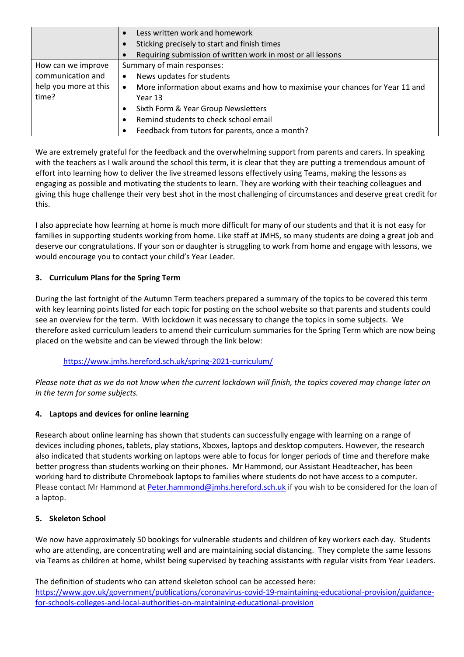|                       | Less written work and homework                                                     |  |
|-----------------------|------------------------------------------------------------------------------------|--|
|                       | Sticking precisely to start and finish times                                       |  |
|                       | Requiring submission of written work in most or all lessons                        |  |
| How can we improve    | Summary of main responses:                                                         |  |
| communication and     | News updates for students<br>٠                                                     |  |
| help you more at this | More information about exams and how to maximise your chances for Year 11 and<br>٠ |  |
| time?                 | Year 13                                                                            |  |
|                       | Sixth Form & Year Group Newsletters                                                |  |
|                       | Remind students to check school email                                              |  |
|                       | Feedback from tutors for parents, once a month?                                    |  |

We are extremely grateful for the feedback and the overwhelming support from parents and carers. In speaking with the teachers as I walk around the school this term, it is clear that they are putting a tremendous amount of effort into learning how to deliver the live streamed lessons effectively using Teams, making the lessons as engaging as possible and motivating the students to learn. They are working with their teaching colleagues and giving this huge challenge their very best shot in the most challenging of circumstances and deserve great credit for this.

I also appreciate how learning at home is much more difficult for many of our students and that it is not easy for families in supporting students working from home. Like staff at JMHS, so many students are doing a great job and deserve our congratulations. If your son or daughter is struggling to work from home and engage with lessons, we would encourage you to contact your child's Year Leader.

# **3. Curriculum Plans for the Spring Term**

During the last fortnight of the Autumn Term teachers prepared a summary of the topics to be covered this term with key learning points listed for each topic for posting on the school website so that parents and students could see an overview for the term. With lockdown it was necessary to change the topics in some subjects. We therefore asked curriculum leaders to amend their curriculum summaries for the Spring Term which are now being placed on the website and can be viewed through the link below:

### <https://www.jmhs.hereford.sch.uk/spring-2021-curriculum/>

Please note that as we do not know when the current lockdown will finish, the topics covered may change later on *in the term for some subjects.*

### **4. Laptops and devices for online learning**

Research about online learning has shown that students can successfully engage with learning on a range of devices including phones, tablets, play stations, Xboxes, laptops and desktop computers. However, the research also indicated that students working on laptops were able to focus for longer periods of time and therefore make better progress than students working on their phones. Mr Hammond, our Assistant Headteacher, has been working hard to distribute Chromebook laptops to families where students do not have access to a computer. Please contact Mr Hammond at [Peter.hammond@jmhs.hereford.sch.uk](mailto:Peter.hammond@jmhs.hereford.sch.uk) if you wish to be considered for the loan of a laptop.

### **5. Skeleton School**

We now have approximately 50 bookings for vulnerable students and children of key workers each day. Students who are attending, are concentrating well and are maintaining social distancing. They complete the same lessons via Teams as children at home, whilst being supervised by teaching assistants with regular visits from Year Leaders.

The definition of students who can attend skeleton school can be accessed here: [https://www.gov.uk/government/publications/coronavirus-covid-19-maintaining-educational-provision/guidance](https://www.gov.uk/government/publications/coronavirus-covid-19-maintaining-educational-provision/guidance-for-schools-colleges-and-local-authorities-on-maintaining-educational-provision)[for-schools-colleges-and-local-authorities-on-maintaining-educational-provision](https://www.gov.uk/government/publications/coronavirus-covid-19-maintaining-educational-provision/guidance-for-schools-colleges-and-local-authorities-on-maintaining-educational-provision)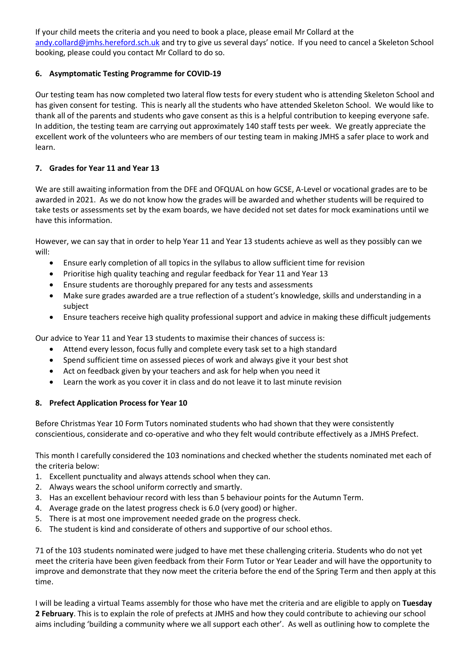If your child meets the criteria and you need to book a place, please email Mr Collard at the [andy.collard@jmhs.hereford.sch.uk](mailto:andy.collard@jmhs.hereford.sch.uk) and try to give us several days' notice. If you need to cancel a Skeleton School booking, please could you contact Mr Collard to do so.

# **6. Asymptomatic Testing Programme for COVID-19**

Our testing team has now completed two lateral flow tests for every student who is attending Skeleton School and has given consent for testing. This is nearly all the students who have attended Skeleton School. We would like to thank all of the parents and students who gave consent as this is a helpful contribution to keeping everyone safe. In addition, the testing team are carrying out approximately 140 staff tests per week. We greatly appreciate the excellent work of the volunteers who are members of our testing team in making JMHS a safer place to work and learn.

# **7. Grades for Year 11 and Year 13**

We are still awaiting information from the DFE and OFQUAL on how GCSE, A-Level or vocational grades are to be awarded in 2021. As we do not know how the grades will be awarded and whether students will be required to take tests or assessments set by the exam boards, we have decided not set dates for mock examinations until we have this information.

However, we can say that in order to help Year 11 and Year 13 students achieve as well as they possibly can we will:

- Ensure early completion of all topics in the syllabus to allow sufficient time for revision
- Prioritise high quality teaching and regular feedback for Year 11 and Year 13
- Ensure students are thoroughly prepared for any tests and assessments
- Make sure grades awarded are a true reflection of a student's knowledge, skills and understanding in a subject
- Ensure teachers receive high quality professional support and advice in making these difficult judgements

Our advice to Year 11 and Year 13 students to maximise their chances of success is:

- Attend every lesson, focus fully and complete every task set to a high standard
- Spend sufficient time on assessed pieces of work and always give it your best shot
- Act on feedback given by your teachers and ask for help when you need it
- Learn the work as you cover it in class and do not leave it to last minute revision

### **8. Prefect Application Process for Year 10**

Before Christmas Year 10 Form Tutors nominated students who had shown that they were consistently conscientious, considerate and co-operative and who they felt would contribute effectively as a JMHS Prefect.

This month I carefully considered the 103 nominations and checked whether the students nominated met each of the criteria below:

- 1. Excellent punctuality and always attends school when they can.
- 2. Always wears the school uniform correctly and smartly.
- 3. Has an excellent behaviour record with less than 5 behaviour points for the Autumn Term.
- 4. Average grade on the latest progress check is 6.0 (very good) or higher.
- 5. There is at most one improvement needed grade on the progress check.
- 6. The student is kind and considerate of others and supportive of our school ethos.

71 of the 103 students nominated were judged to have met these challenging criteria. Students who do not yet meet the criteria have been given feedback from their Form Tutor or Year Leader and will have the opportunity to improve and demonstrate that they now meet the criteria before the end of the Spring Term and then apply at this time.

I will be leading a virtual Teams assembly for those who have met the criteria and are eligible to apply on **Tuesday 2 February**. This is to explain the role of prefects at JMHS and how they could contribute to achieving our school aims including 'building a community where we all support each other'. As well as outlining how to complete the